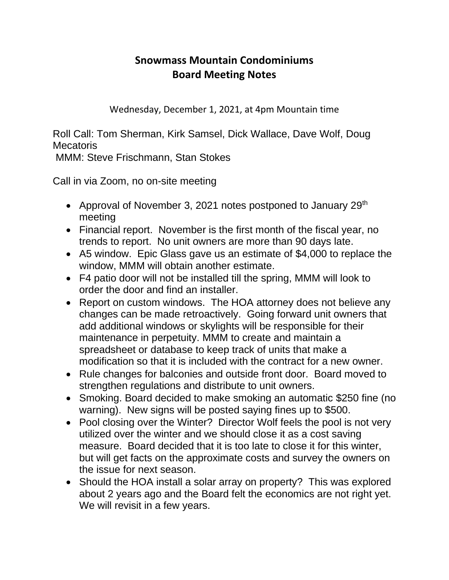## **Snowmass Mountain Condominiums Board Meeting Notes**

Wednesday, December 1, 2021, at 4pm Mountain time

Roll Call: Tom Sherman, Kirk Samsel, Dick Wallace, Dave Wolf, Doug **Mecatoris** 

MMM: Steve Frischmann, Stan Stokes

Call in via Zoom, no on-site meeting

- Approval of November 3, 2021 notes postponed to January  $29<sup>th</sup>$ meeting
- Financial report. November is the first month of the fiscal year, no trends to report. No unit owners are more than 90 days late.
- A5 window. Epic Glass gave us an estimate of \$4,000 to replace the window, MMM will obtain another estimate.
- F4 patio door will not be installed till the spring, MMM will look to order the door and find an installer.
- Report on custom windows. The HOA attorney does not believe any changes can be made retroactively. Going forward unit owners that add additional windows or skylights will be responsible for their maintenance in perpetuity. MMM to create and maintain a spreadsheet or database to keep track of units that make a modification so that it is included with the contract for a new owner.
- Rule changes for balconies and outside front door. Board moved to strengthen regulations and distribute to unit owners.
- Smoking. Board decided to make smoking an automatic \$250 fine (no warning). New signs will be posted saying fines up to \$500.
- Pool closing over the Winter? Director Wolf feels the pool is not very utilized over the winter and we should close it as a cost saving measure. Board decided that it is too late to close it for this winter, but will get facts on the approximate costs and survey the owners on the issue for next season.
- Should the HOA install a solar array on property? This was explored about 2 years ago and the Board felt the economics are not right yet. We will revisit in a few years.